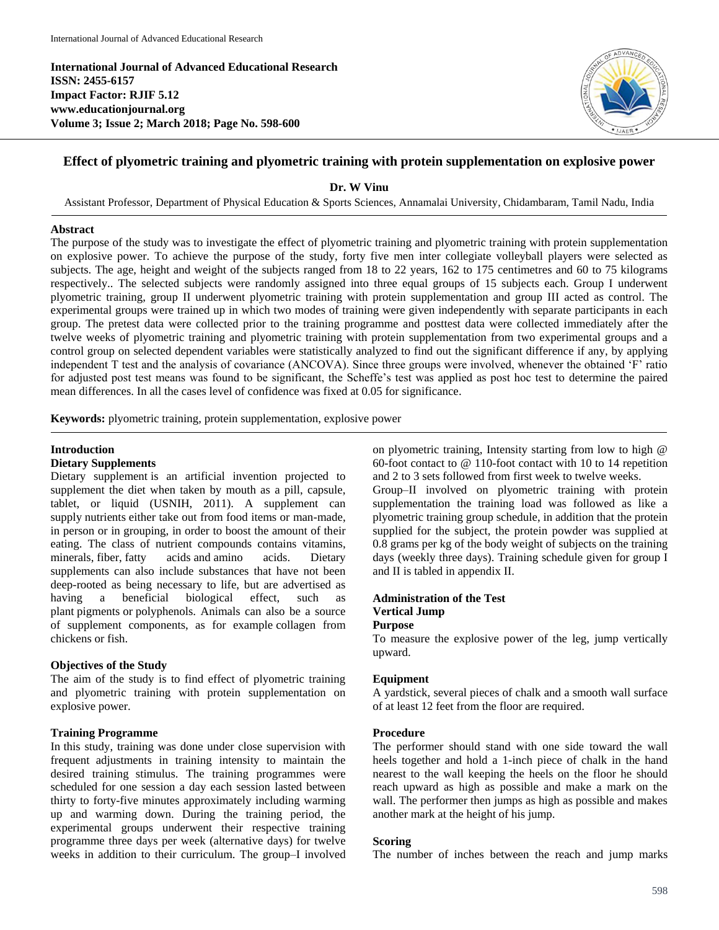**International Journal of Advanced Educational Research ISSN: 2455-6157 Impact Factor: RJIF 5.12 www.educationjournal.org Volume 3; Issue 2; March 2018; Page No. 598-600**



## **Effect of plyometric training and plyometric training with protein supplementation on explosive power**

**Dr. W Vinu**

Assistant Professor, Department of Physical Education & Sports Sciences, Annamalai University, Chidambaram, Tamil Nadu, India

## **Abstract**

The purpose of the study was to investigate the effect of plyometric training and plyometric training with protein supplementation on explosive power. To achieve the purpose of the study, forty five men inter collegiate volleyball players were selected as subjects. The age, height and weight of the subjects ranged from 18 to 22 years, 162 to 175 centimetres and 60 to 75 kilograms respectively.. The selected subjects were randomly assigned into three equal groups of 15 subjects each. Group I underwent plyometric training, group II underwent plyometric training with protein supplementation and group III acted as control. The experimental groups were trained up in which two modes of training were given independently with separate participants in each group. The pretest data were collected prior to the training programme and posttest data were collected immediately after the twelve weeks of plyometric training and plyometric training with protein supplementation from two experimental groups and a control group on selected dependent variables were statistically analyzed to find out the significant difference if any, by applying independent T test and the analysis of covariance (ANCOVA). Since three groups were involved, whenever the obtained 'F' ratio for adjusted post test means was found to be significant, the Scheffe's test was applied as post hoc test to determine the paired mean differences. In all the cases level of confidence was fixed at 0.05 for significance.

**Keywords:** plyometric training, protein supplementation, explosive power

## **Introduction**

#### **Dietary Supplements**

Dietary supplement is an artificial invention projected to supplement the diet when taken by mouth as a pill, capsule, tablet, or liquid (USNIH, 2011). A supplement can supply nutrients either take out from food items or man-made, in person or in grouping, in order to boost the amount of their eating. The class of nutrient compounds contains vitamins, minerals, fiber, fatty acids and amino acids. Dietary supplements can also include substances that have not been deep-rooted as being necessary to life, but are advertised as having a beneficial biological effect, such as plant pigments or polyphenols. Animals can also be a source of supplement components, as for example collagen from chickens or fish.

### **Objectives of the Study**

The aim of the study is to find effect of plyometric training and plyometric training with protein supplementation on explosive power.

## **Training Programme**

In this study, training was done under close supervision with frequent adjustments in training intensity to maintain the desired training stimulus. The training programmes were scheduled for one session a day each session lasted between thirty to forty-five minutes approximately including warming up and warming down. During the training period, the experimental groups underwent their respective training programme three days per week (alternative days) for twelve weeks in addition to their curriculum. The group–I involved

on plyometric training, Intensity starting from low to high @ 60-foot contact to @ 110-foot contact with 10 to 14 repetition and 2 to 3 sets followed from first week to twelve weeks.

Group–II involved on plyometric training with protein supplementation the training load was followed as like a plyometric training group schedule, in addition that the protein supplied for the subject, the protein powder was supplied at 0.8 grams per kg of the body weight of subjects on the training days (weekly three days). Training schedule given for group I and II is tabled in appendix II.

## **Administration of the Test Vertical Jump Purpose**

# To measure the explosive power of the leg, jump vertically

upward.

## **Equipment**

A yardstick, several pieces of chalk and a smooth wall surface of at least 12 feet from the floor are required.

#### **Procedure**

The performer should stand with one side toward the wall heels together and hold a 1-inch piece of chalk in the hand nearest to the wall keeping the heels on the floor he should reach upward as high as possible and make a mark on the wall. The performer then jumps as high as possible and makes another mark at the height of his jump.

#### **Scoring**

The number of inches between the reach and jump marks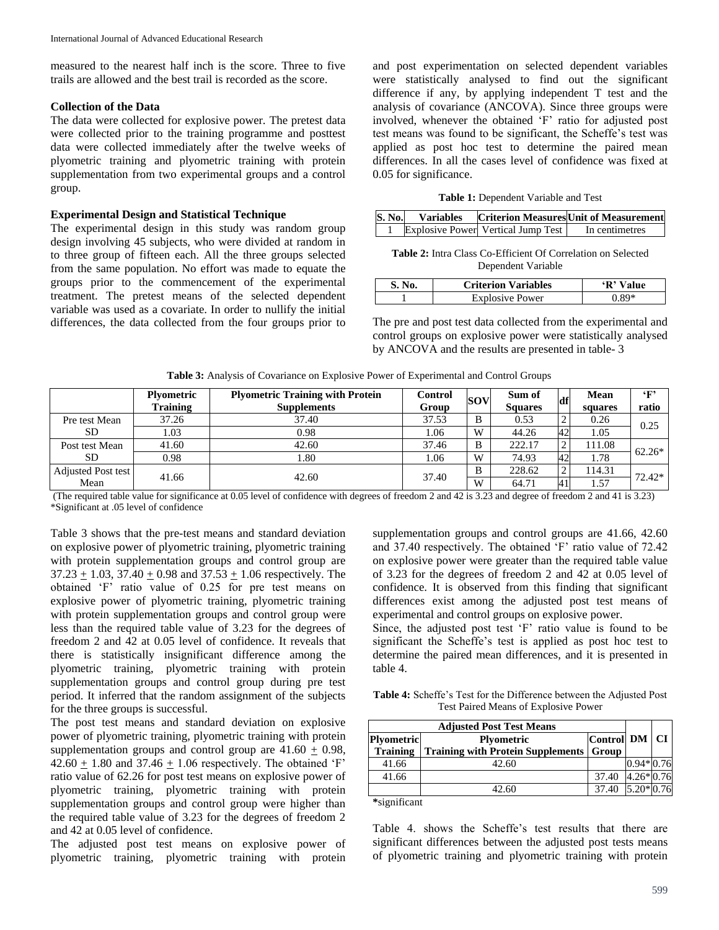measured to the nearest half inch is the score. Three to five trails are allowed and the best trail is recorded as the score.

## **Collection of the Data**

The data were collected for explosive power. The pretest data were collected prior to the training programme and posttest data were collected immediately after the twelve weeks of plyometric training and plyometric training with protein supplementation from two experimental groups and a control group.

#### **Experimental Design and Statistical Technique**

The experimental design in this study was random group design involving 45 subjects, who were divided at random in to three group of fifteen each. All the three groups selected from the same population. No effort was made to equate the groups prior to the commencement of the experimental treatment. The pretest means of the selected dependent variable was used as a covariate. In order to nullify the initial differences, the data collected from the four groups prior to

and post experimentation on selected dependent variables were statistically analysed to find out the significant difference if any, by applying independent T test and the analysis of covariance (ANCOVA). Since three groups were involved, whenever the obtained 'F' ratio for adjusted post test means was found to be significant, the Scheffe's test was applied as post hoc test to determine the paired mean differences. In all the cases level of confidence was fixed at 0.05 for significance.

| S. No. | <b>Variables</b> |                                    | <b>Criterion Measures</b> Unit of Measurement |
|--------|------------------|------------------------------------|-----------------------------------------------|
|        |                  | Explosive Power Vertical Jump Test | In centimetres                                |

**Table 2:** Intra Class Co-Efficient Of Correlation on Selected Dependent Variable

| S. No. | <b>Criterion Variables</b> | $\mathbf{R}$<br>Value |
|--------|----------------------------|-----------------------|
|        | <b>Explosive Power</b>     | *98 ∂،                |

The pre and post test data collected from the experimental and control groups on explosive power were statistically analysed by ANCOVA and the results are presented in table- 3

**Table 3:** Analysis of Covariance on Explosive Power of Experimental and Control Groups

|                             | <b>Plyometric</b> | <b>Plyometric Training with Protein</b> | Control | <b>SOV</b> | Sum of         | df | <b>Mean</b> | $\epsilon_{\rm F}$ |
|-----------------------------|-------------------|-----------------------------------------|---------|------------|----------------|----|-------------|--------------------|
|                             | Training          | <b>Supplements</b>                      | Group   |            | <b>Squares</b> |    | squares     | ratio              |
| Pre test Mean<br>SD.        | 37.26             | 37.40                                   | 37.53   | B          | 0.53           | ∼  | 0.26        | 0.25               |
|                             | 1.03              | 0.98                                    | 1.06    | W          | 44.26          | 42 | 1.05        |                    |
| Post test Mean<br><b>SD</b> | 41.60             | 42.60                                   | 37.46   | B          | 222.17         |    | 111.08      | $62.26*$           |
|                             | 0.98              | 1.80                                    | 1.06    | W          | 74.93          | 42 | 1.78        |                    |
| Adjusted Post test          | 41.66             | 42.60                                   | 37.40   | B          | 228.62         | ◠  | 114.31      | 72.42*             |
| Mean                        |                   |                                         |         | W          | 64.71          | 41 | 1.57        |                    |

(The required table value for significance at 0.05 level of confidence with degrees of freedom 2 and 42 is 3.23 and degree of freedom 2 and 41 is 3.23) \*Significant at .05 level of confidence

Table 3 shows that the pre-test means and standard deviation on explosive power of plyometric training, plyometric training with protein supplementation groups and control group are  $37.23 \pm 1.03$ ,  $37.40 \pm 0.98$  and  $37.53 \pm 1.06$  respectively. The obtained 'F' ratio value of 0.25 for pre test means on explosive power of plyometric training, plyometric training with protein supplementation groups and control group were less than the required table value of 3.23 for the degrees of freedom 2 and 42 at 0.05 level of confidence. It reveals that there is statistically insignificant difference among the plyometric training, plyometric training with protein supplementation groups and control group during pre test period. It inferred that the random assignment of the subjects for the three groups is successful.

The post test means and standard deviation on explosive power of plyometric training, plyometric training with protein supplementation groups and control group are  $41.60 + 0.98$ ,  $42.60 + 1.80$  and  $37.46 + 1.06$  respectively. The obtained 'F' ratio value of 62.26 for post test means on explosive power of plyometric training, plyometric training with protein supplementation groups and control group were higher than the required table value of 3.23 for the degrees of freedom 2 and 42 at 0.05 level of confidence.

The adjusted post test means on explosive power of plyometric training, plyometric training with protein

supplementation groups and control groups are 41.66, 42.60 and 37.40 respectively. The obtained 'F' ratio value of 72.42 on explosive power were greater than the required table value of 3.23 for the degrees of freedom 2 and 42 at 0.05 level of confidence. It is observed from this finding that significant differences exist among the adjusted post test means of experimental and control groups on explosive power.

Since, the adjusted post test 'F' ratio value is found to be significant the Scheffe's test is applied as post hoc test to determine the paired mean differences, and it is presented in table 4.

**Table 4:** Scheffe's Test for the Difference between the Adjusted Post Test Paired Means of Explosive Power

| <b>Adjusted Post Test Means</b>        |                                                  |                  |             |  |
|----------------------------------------|--------------------------------------------------|------------------|-------------|--|
| <b>Plyometric</b><br><b>Plyometric</b> |                                                  | Control DM CI    |             |  |
| <b>Training</b>                        | <b>Training with Protein Supplements   Group</b> |                  |             |  |
| 41.66                                  | 42.60                                            |                  | $0.94*0.76$ |  |
| 41.66                                  |                                                  | 37.40 4.26* 0.76 |             |  |
|                                        | 42.60                                            | 37.40 5.20* 0.76 |             |  |

**\***significant

Table 4. shows the Scheffe's test results that there are significant differences between the adjusted post tests means of plyometric training and plyometric training with protein